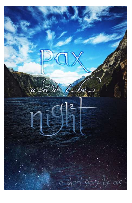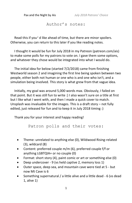# Author's notes:

Read this if you'd like ahead of time, but there are minor spoilers. Otherwise, you can return to this later if you like reading notes.

I thought it would be fun for July 2018 in my Patreon (patreon.com/ais) to make some polls for my patrons to vote on. I gave them some options, and whatever they chose would be integrated into what I would do.

The initial idea for below (started 7/2/2018) came from finishing Westworld season 2 and imagining the first line being spoken between two people, either both not human or one who is and one who isn't, and a simulation being involved. This story is what grew from that vague idea.

Initially, my goal was around 5,000 words max. Obviously, I failed on that point. But it was still fun to write :) I also wasn't sure on a title at first but I like what I went with, and then I made a quick cover to match. Unsplash was invaluable for the images. This is a draft story – not fully edited, just released for fun and to keep it in July 2018 timing :)

Thank you for your interest and happy reading!

Patron polls and their votes:

- Theme: unrelated to anything else (0), Wildwood Rising-related (3), wildcard (8)
- Content: preferred couple m/m (6), preferred couple f/f or anything LGBTQIA+ or no couple (0)
- Format: short story (4), paint comic or art or something else (0)
- Deep undercover 9 (vs held captive 2, memory loss 1)
- Outer space, deep sea, and mountain cave were tied at 5 but now Mt Cave is 6
- Something supernatural / a little alive and a little dead 6 (vs dead 1, alive 1)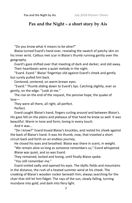# **Pax and the Night – a short story by Ais**

"Do you know what it means to be alive?"

Blaise turned Evard's hand over, revealing the swatch of patchy skin on his inner wrist. Callous met scar in Blaise's thumb running gently over the geography.

Evard's gaze shifted over that meeting of dark and darker, and slid away. Their heartbeats were a quiet melody in the night.

"Evard. Evard." Blaise' fingertips slid against Evard's cheek and gently but surely pulled him back.

Centered, centered, on warm brown eyes.

"Evard." Thumb sliding down to Evard's lips. Catching slightly, ever so gently, on the edge. "Look at me."

The rise on the end of the request, the pensive hope, the quake of love—

They were all there, all right, all perfect.

Perfect.

Evard caught Blaise's hand, fingers curling around and between Blaise's. His gaze fell on the plains and plateaus of that hand he knew so well. It was beautiful. Warm in tone and form; loving in every touch.

And it was...

"Do I know?" Evard kissed Blaise's knuckles, and rested his cheek against the back of Blaise's hand. It was *his* thumb, now, that traveled a short circuit back and forth on an endless journey.

He closed his eyes and breathed. Blaise was there in scent, in weight. "We remain alive so long as someone remembers us," Evard whispered. Blaise was quiet, and so was Evard.

They remained, locked and loving, until finally Blaise spoke.

"You still remember me."

Evard smiled sadly and opened his eyes. The idyllic fields and mountains in the distance, the rush of a heated summer wind at his cheek. The creaking of Blaise's wooden rocker beneath him; always searching for the chair that still let him fidget. The rays of the sun, slowly falling, turning mundane into gold, and dark into fiery light.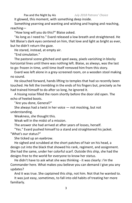It glowed, this moment, with something deep inside.

Something yearning and wanting and wishing and hoping and reaching, reaching—

"How long will you do this?" Blaise asked.

"As long as I need to." Evard released a low breath and straightened. He felt Blaise's dark eyes centered on him, that love and light as bright as ever, but he didn't return the gaze.

He stared, instead, at empty air.

"End simulation."

The pastoral scene glitched and sped away, pixels vanishing in blocky horizontal lines until there was nothing left. Blaise, as always, was the last to go: frozen in time, until time itself removed him from this story.

Evard was left alone in a grey-screened room, on a wooden stool making no sound.

He slouched forward, hands lifting to temples that had so recently been touched. He felt the trembling in the ends of his fingers but, precisely as he had trained himself to do after so long, he ignored it.

A hissing noise filled the room shortly before the door slid open. The echo of heeled boots.

"Are you done, General?"

She always had a twist in her voice — not mocking, but not understanding.

Weakness, she thought this.

Weak will in the midst of a mission.

The answer she had arrived at after years of losses, herself.

"Yes." Evard pushed himself to a stand and straightened his jacket. "What's our status?"

She ticked up an eyebrow.

He sighed and scrubbed at the short patches of hair on his head, a design cut into the black that showed his rank, regiment, and assignment. She had the same, under her colorful scarf. Outside this ship, she had the designs free to the world for everyone to know her status.

He didn't have to ask what she was thinking - it was clearly: *I'm* the Commander here. What makes you believe you can demand *I* give *you* any updates?

And it was true. She captained this ship, not him. Not that he wanted to.

It was just easy, sometimes, to fall into old habits of treating her more familiarly.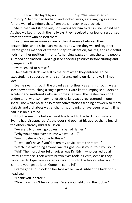"Sorry." He dropped his hand and looked away, gaze angling as always for the wall of windows that, from the simdeck, was blocked.

She turned and strode out, not waiting for him to fall in line behind her. As they walked through the hallways, they received a variety of responses from the staff who passed them.

Evard was never more aware of the difference between their personalities and disciplinary measures as when they walked together. Evame got all manner of startled snaps to attention, salutes, and respectful nods from her position in front. As her view passed them, the same people slumped and flashed Evard a grin or cheerful gestures before turning and scampering off.

Evard smiled to himself.

The healer's deck was full to the brim when they entered. To be expected, he supposed, with a conference going on right now. Still not ideal.

Evame swam through the crowd as effortlessly as a fish through water, somehow not touching a single person. Evard kept bumping shoulders on accident and muttered awkward sorries he knew the healers wouldn't understand, with so many hundreds of languages represented in one space. The white noise of so many conversations flipping between so many dialects and alphabets was enchanting, and might have been relaxing if he had less on his mind.

It took some time before Evard finally got to the back room where Evame had disappeared. As the door slid open at his approach, he heard the others already mid-discussion.

"—carefully or we'll go down in a ball of flames."

"Why would you ever assume we would—?"

"—an't believe it's come to this—"

"—wouldn't have if you'd taken my advice from the start—"

"Zetch, the last thing anyone wants right now is your I told you so—"

"Ah!" The most cheerful of voices was Dr. Edyn, who perked up at Evard's entrance. Their warm brown eyes took in Evard, even as they continued to type complicated calculations into the table's interface. "If it isn't the youngest triplet. Come in, come in!"

Evame got a sour look on her face while Evard rubbed the back of his head again.

"Thank you, doctor."

"Now, now, don't be so formal! Were you held up in the lobby?"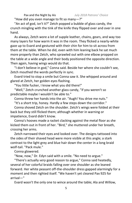"How did you even manage to fit so many-?"

"An act of god, isn't it?" Zetch popped a bubble of glass candy, the crunch mingling with the tink of the knife they flipped over and over in one hand.

As always, Zetch wore a lot of supple leather, chains, gears, and way too many layers for how warm it was in the room. They flicked a nearly-white gaze up to Evard and gestured with their chin for him to sit across from them at the table. When he did, even with him leaning back he sat much more properly than Zetch, who sprawled out with one elbow propped on the table at a wide angle and their body positioned the opposite direction. Then again, having wings would do that.

"I don't believe in god," Conna said. Beside her where she couldn't see, Zetch mouthed the words perfectly in sync.

Evard tried to stop a smile but Conna saw it. She whipped around and glared at Zetch, her golden eyes flashing.

"You little fucker, I know what you did there!"

"Well," Zetch crunched another glass candy, "if you weren't so predictable maybe I wouldn't be able to."

Conna threw her hands into the air. "Augh! You drive me nuts."

"It's a short trip, honey. Hardly a few steps down the corridor."

Conna shoved Zetch on the shoulder. Zetch's wings were folded at their back but they still flicked them; although whether in warning or impatience, Evard didn't know.

Conna's hooves made a racket clacking against the metal floor as she kicked them out in front of her. "Bird," she muttered under her breath, crossing her arms.

Zetch narrowed their eyes and looked over. The designs tattooed into the sides of their shaved head were more visible at this angle; a stark contrast to the light grey and blue hair down the center in a long braid wolf-tail. "Pack mule."

Conna glowered.

"Now, now," Dr. Edyn said with a smile. "No need to argue."

"There's actually *very* good reason to argue," Conna said heatedly, several of her colorful braids falling over one shoulder as she leaned forward. Her white peasant off-the-shoulder dress gapped alarmingly for a moment and then righted itself. "We haven't yet cleared Pax 925 for arrival—"

Evard wasn't the only one to wince around the table; Ala and Willow,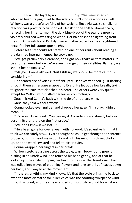who had been staying quiet to the side, couldn't stop reactions as well. Willow's was a graceful shifting of her weight. Since Ala was so small, her reaction was practically full-bodied. Her skin tone shifted dramatically, reflecting her inner turmoil: the dark blue-black of the sea, the green of violently churned waves tinged white. Her hair flashed to lightning from the sun. Only Zetch and Dr. Edyn were unaffected as Evame straightened herself to her full statuesque height.

Before his sister could get started on one of her rants about reading all the damned internal memos, he spoke up.

"We got preliminary clearance, and right now that's all that matters. It'll be another week before we're even in range of their satellites. By then, we should hear a final say."

"Maybe," Conna allowed, "but I still say we should be more cautious, considering—"

Her heated rise of voice cut off abruptly. Her eyes widened, guilt flashing through them as her gaze snapped to Evard. He let out a low breath, trying to ignore the pain that clenched his heart. The others were very quiet, except for Willow who rustled her leaves comfortingly.

Zetch flicked Conna's back with the tip of one sharp wing.

*Idiot,* they said without words.

Conna looked even guiltier and dropped her gaze. "I'm sorry. I didn't mean—"

"It's okay," Evard said. "You can say it. Considering we already lost our best infiltrator there on the first probe."

"We don't know if we lost—"

"He's been gone for over a year, with no word. It's so unlike him that I think we can safely say..." Evard thought he could get through the sentence properly, but his heart wasn't on board with his mind. His throat choked up, and the words twisted and fell to bitter quiet.

Conna wrapped her fingers in her braids.

Willow stretched a vine across the table, warm browns and greens rustling in an unfelt wind. She touched his hand gently, and at that he looked up. She smiled, tipping her head to the side. Her tree-branch hair was rolled into waves of blooming flowers and long tendrils of leaves down her back, and swayed at the movement.

"If there's anything my kind knows, it's that the cycle brings life back to even the most dismal of soil." Her voice was the soothing whisper of wind through a forest, and the vine wrapped comfortingly around his wrist was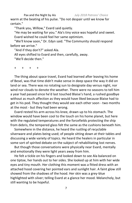warm at the beating of his pulse. "Do not despair until we know for certain."

"Thank you, Willow," Evard said quietly.

"He may be waiting for you." Ala's tiny voice was hopeful and sweet. Evard wished he could feel her same optimism.

"We'll know soon," Dr. Edyn said. "The Community should respond before we arrive."

"And if they don't?" asked Ala.

All eyes shifted to Evard and then, carefully, away.

"We'll decide then."

+ + + +

The thing about space travel, Evard had learned after leaving his home of Besel, was that time didn't make sense in deep space the way it did on land or sea. There was no rotating sun to designate day versus night, nor wind nor clouds to denote the weather. There were no seasons to tell him a year had passed since he'd last touched Blaise's hand, a rushed goodbye without as much affection as they would have liked because Blaise had to get in his pod. They thought they would see each other soon - two months at the most - but they had been wrong.

Evard rested his arm across his knee, drawn up to his stomach. The window would have been cool to the touch on his home planet, but here with the regulated temperatures and the forcefields protecting the ship from debris, the tempered glass felt the same as the cushions beneath him.

Somewhere in the distance, he heard the rustling of recyclable silverware and plates being used; of people sitting down at their tables and discussing a wide variety of topics. He heard the healers in particular in some sort of spirited debate on the subject of rehabilitating lost nerves.

But though those conversations were physically near Evard, mentally and emotionally they were light years away from him.

He felt a tickle on his fingers and looked down to see Ala balanced on one tiptoe, her hands out to her sides. She looked up at him with her wide eyes and tiny mouth. Her clothing this moment was a fitted dress with an attached hood covering her pointed ears and sunlight hair. A faint glow still showed from the shadows of the hood. Her skin was a grey-blue highlighted with silver; telling Evard at a glance her mood. Melancholy, but still wanting to be hopeful.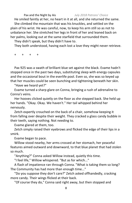He smiled faintly at her, no heart in it at all, and she returned the same. She climbed the mountain that was his knuckles, and settled on the plain of his wrist. He was careful, now, to keep his arm still so as not to unbalance her. She stretched her legs in front of her and leaned back on her palms, looking out at the same starfield that surrounded them.

They didn't speak, but they didn't have to.

They both understood, having each lost a love they might never retrieve.

+ + + +

Pax 925 was a swath of brilliant blue set against the black. Evame hadn't stopped once in the past two days, substituting sleep with energy capsules and the occasional bout in the everlife pool. Even so, she was so keyed up that her muscles could be seen bunching and tightening beneath her skin.

"Have we heard yet?"

Evame turned a sharp glare on Conna, bringing a rush of adrenaline to Conna's veins.

Her hooves clicked quietly on the floor as she stepped back. She held up her hands. "Okay. Okay. We haven't." Her tail whipped behind her nervously.

Zetch expertly crouched on the back of a chair, somehow keeping it from falling over despite their weight. They cracked a glass candy bubble in their teeth, saying nothing. Not needing to.

Evame glared at them, too.

Zetch simply raised their eyebrows and flicked the edge of their lips in a smirk.

Evame began to pace.

Willow stood nearby, her arms crossed at her stomach, her peaceful features aimed outward and downward, to that blue planet that had stolen so much.

"Anything?" Conna asked Willow instead, quietly this time.

"I feel life," Willow whispered. "But as for which..."

A flash of impatience ran through Conna. "What is taking them so long? The Community has had more than enough time..."

"Do you suppose they don't care?" Zetch asked offhandedly, cracking more candy. Their wings flicked at their back.

"Of course they do," Conna said right away, but then stopped and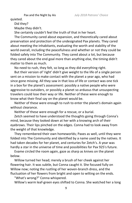quieted.

Did they?

Maybe they didn't.

She certainly couldn't feel the truth of that in her heart.

The Community cared about expansion, and theoretically cared about preservation and protection of the undesignated Pax planets. They cared about meeting the inhabitants, evaluating the worth and stability of the world overall, including the peacefulness and whether or not they could be folded safely into The Community. They cared about a lot, but because they cared about the end goal more than anything else, the timing didn't matter to them as much.

No need to rush, they felt, so long as they did everything right.

But their version of 'right' didn't give weight to the life of a single person sent on a mission to make contact with the planet a year ago, who had since gone missing. All they saw in that loss of life or contact was one tick in a box for the planet's assessment: possibly a native people who were aggressive to outsiders, or possibly a planet so arduous that unsuspecting travelers could lose their way or life. Neither of these were enough to know what their final say on the planet would be.

Neither of these were enough to rush to enter the planet's domain again without clearance.

Neither of these were enough for a rescue, or a burial.

Zetch seemed to have understood the thoughts going through Conna's mind, because they looked down at her with a knowing arch of their eyebrows. Their lips pinched on the edges. Conna had to look away from the weight of that knowledge.

They remembered their own homeworlds; Paxes as well, until they were folded into The Community and identified by a name used by the natives. It had taken decades for her planet, and centuries for Zetch's. A year was hardly a star in the universe of time and possibilities for Pax 925's future.

Evame circled the room again, gaze as sharp as knives on the planet below.

Willow turned her head; merely a brush of her cheek against her flowering hair. It was subtle, but Conna caught it. She focused fully on Willow now; noting the rustling of her woven-branch dress, and the fluctuation of her flowers from bright and open to wilting on the ends.

"What's wrong?" Conna whispered.

Willow's warm leaf-green eyes shifted to Conna. She watched her a long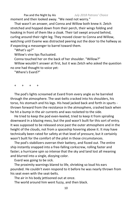Pax and the Night by Ais *July 2018 Patrons' Choice* moment and then looked away. "We need not worry."

That wasn't an answer, and Conna and Willow both knew it. Zetch stretched and hopped down from their perch, their wings folding and hooking in front of them like a cloak. Their tail swept around behind, curling around their right leg. They moved closer to Conna and Willow, watching until Evame was distracted peering out the door to the hallway as if expecting a messenger to barrel toward them.

"What's up?"

Willow's vine lips fluctuated.

Conna touched her on the back of her shoulder. "Willow?"

Willow wouldn't answer at first, but it was Zetch who asked the question no one had thought to voice yet:

"Where's Evard?"

+ + + +

The pod's lights screamed at Evard from every angle as he barreled through the atmosphere. The seat-belts cracked into his shoulders, his torso, his stomach and his legs. His head jacked back and forth in spurts thrown forward from the resistance in the atmosphere, crashed back when he hit a bump in the air currents and was rocketed to the side.

He tried to keep the pod even-keeled, tried to keep it from spiraling downward in a blazing mess, but the pod wasn't built for this sort of entry. It was supposed to be released once past the outer atmosphere and in the height of the clouds, not from a spaceship hovering above it. It may have technically been rated for safety at that level of pressure, but it certainly wasn't built for the comfort of the pilot in those circumstances.

The pod's stabilizers overran their battery, and fizzed out. The entire ship instantly snapped into a free-falling corkscrew, rolling faster and faster; a hurricane spin so intense that the sky and land lost all meaning and blurred into a single, dizzying color.

Evard was going to be sick.

The proximity warnings blared to life, shrieking so loud his ears pounded. He couldn't even respond to it before he was nearly thrown from his seat even with the seat-belts.

The air in his body jettisoned out at once.

The world around him went fuzzy, and then black.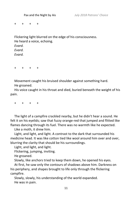+ + + +

Flickering light blurred on the edge of his consciousness. He heard a voice, echoing. *Evard. Evard. Evard.*

+ + + +

Movement caught his bruised shoulder against something hard. He groaned.

His voice caught in his throat and died, buried beneath the weight of his pain.

+ + + +

The light of a campfire crackled nearby, but he didn't hear a sound. He felt it on his eyelids; saw that fuzzy orange-red that jumped and flitted like flames dancing through its fuel. There was no warmth like he expected.

Like a moth, it drew him.

Light, and light, and light. A contrast to the dark that surrounded his medicine head. It was like cotton tied like wool around him over and over, blurring the clarity that should be his surroundings.

Light, and light, and light.

Flickering, jumping, inviting.

He groaned.

Slowly, like anchors tried to keep them down, he opened his eyes.

At first, he saw only the contours of shadows above him. Darkness on his periphery, and shapes brought to life only through the flickering campfire.

Slowly, slowly, his understanding of the world expanded. He was in pain.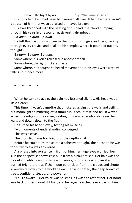His body felt like it had been bludgeoned all over. It felt like there wasn't a stretch of him that wasn't bruised or maybe broken.

His eyes throbbed with the beating of his head; the blood pumping through his veins in a resounding, sickening drumbeat.

Ba-*dum.* Ba-*dum.* Ba-*dum.*

He felt that cacophony down to the tips of his fingers and toes; back up through every crevice and peak, to his temples where it pounded out any thoughts.

Ba-*dum.* Ba-*dum.* Ba-*dum.*

Somewhere, his voice released in another moan.

Somewhere, the light flickered faster.

Somewhere, he thought he heard movement but his eyes were already falling shut once more.

+ + + +

When he came to again, the pain had lessened slightly. His head was a little clearer.

This time, it wasn't campfire that flickered against the walls and ceiling, but moonlight shimmering off a tumultuous sea. It rose and fell in waves across the edges of the ceiling, casting unpredictable silver-blue on the walls and down, down to the floor.

He turned his head slowly, testing his muscles.

Two moments of understanding converged:

This was a cave.

The moonlight was too bright for the depths of it.

Before he could turn those into a cohesive thought, the question he was too fuzzy to ask was answered.

Ala phased into existence in front of him, her huge eyes worried, her skin the deepest shadows cast blue from a turbulent sea. Her hair was the moonlight, ebbing and flowing with worry, until she saw him awake. It burned bright, then, as if the moon burst clear from the clouds and shone silver-white down to the world below. Her skin shifted, the deep brown of trees: confident, steady, and powerful.

"You're awake!" Her voice was so small, as was the rest of her. Her hood was back off her moonlight hair, and her eyes searched every part of him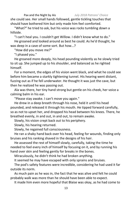she could see. Her small hands followed, gentle tickling touches that should have bothered him but only made him feel comforted.

"What?" he tried to ask, but his voice was rocks tumbling down a hillside.

"I can't heal you. I couldn't get Willow. I didn't know what to do." He groaned and looked around as best he could. As he'd thought, he was deep in a cave of some sort. But how...?

"How did you move me?"

"I phased you."

He groaned more deeply, his head pounding violently as he slowly tried to sit up. She jumped up to his shoulder, and balanced as he righted himself.

For a moment, the edges of his vision went black, and what he could see before him became a starkly tightening tunnel. His hearing went distant, fuzzing out as if he fell underwater. He thought it was just the cave, but then he realized he was passing out.

Ala was there, her tiny hand strong but gentle on his cheek, her voice a calming balm in his ear.

"Please stay awake. I can't move you again."

He drew in a deep breath through his nose, held it until his head pounded, and released it through his mouth. He tipped forward carefully, so as not to upset her, and dropped his head between his knees. There, he breathed evenly, in and out, in and out, to remain awake.

Slowly, his vision crept back out to his periphery.

Slowly, his hearing returned.

Slowly, he regained full consciousness.

He ran a shaky hand back over his head, feeling for wounds, finding only bruises and his ranking shaved in the designs of his hair.

He assessed the rest of himself slowly, carefully, taking the time he needed to feel every inch of himself by focusing on it, and by running his hand over skin and feeling gently for breaks in the bones.

Miraculously, he didn't think he had broken anything.

It seemed he may have escaped with only sprains and bruises.

The pod's safety features were incredible, considering he had used it far outside its norm.

As much pain as he was in, the fact that he was alive and felt he could probably walk was more than he should have been able to expect.

It made him even more hopeful that Blaise was okay, as he had come to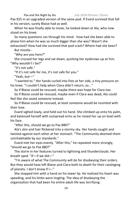Pax 925 in an upgraded version of the same pod. If Evard survived that fall in his version, surely Blaise had as well.

When he was finally able to move, he looked down at Ala, who now stood on his knee.

So many questions ran through his mind - how had she been able to phase him when he was so much bigger than she was? Wasn't she exhausted? How had she survived that pod crash? Where had she been?

But mostly--

"Why are you here?"

She crossed her legs and sat down, quirking her eyebrows up at him. "Why wouldn't I be?"

"It's not safe."

"If it's not safe for me, it's not safe for you."

"Yeah, but—"

"I wanted to." Her hands curled into fists at her side, a tiny pressure on his knee. "I couldn't help when Clara didn't return, so..."

So if Blaise could be rescued, maybe there was hope for Clara too.

So if Blaise could be rescued, maybe even if Clara was dead, Ala could feel like she saved someone instead.

So if Blaise could be rescued, at least someone would be reunited with their love.

Evard sighed lowly, and held out his hand. She climbed up onto his palm, and balanced herself with outspread arms as he raised her up on level with his face.

"After this, should we go to Pax 880?"

Ala's skin and hair flickered into a stormy sky. Her hands caught and twisted against each other at her stomach. "The Community deemed them uninhabitable by our standards."

Evard met her eyes evenly. "After this," he repeated more strongly, "should we go to Pax 880?"

The storm in her features turned to lightning and thunderclouds. Her breath sped. "If—if we did—"

"I'm aware of what The Community will do for disobeying their orders. But they would have left Blaise and Clara both to death for their cataloging of planets. I don't know if I—"

She stopped him with a hand on his lower lip. He realized his heart was speeding, and his limbs were tingling. The idea of disobeying the organization that had been his entire adult life was terrifying.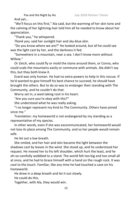And yet...

"We'll focus on this first," Ala said, but the warming of her skin tone and the calming of her lightning-hair told him all he needed to know about her appreciation.

"Thank you," he whispered.

*Thank you,* said her sunlight hair and sky-blue skin.

"Do you know where we are?" He looked around, but all he could see was the light cast by her, and the darkness it fed.

"Somewhere in a mountain, near a sea. I don't know more without Willow."

Or Zetch, who could fly or mold the stone around them, or Conna, who could scale the mountains easily or commune with animals. Ala didn't say this, but they both knew it.

Evard was only human. He had no extra powers to help in this rescue. If he'd wanted to give himself his best chance to succeed, he should have brought the others. But to do so was to endanger their standing with The Community, and he couldn't do that.

Worry set in; a seed taking root in his heart.

"Are you sure you're okay with this?"

She understood what he was really asking.

"I no longer represent my kind to The Community. Others have joined since me."

Translation: my homeworld is not endangered by my standing as a representative of my species.

In other words, even if she was excommunicated, her homeworld would not lose its place among The Community, and so her people would remain safe.

He let out a low breath.

She smiled, and her hair and skin became the light between the shadows cast by leaves in the wind. She stood up, and he understood her request. He moved her to his left shoulder, which hurt the least, and he oh-so-carefully wobbled to a stand. The world felt too big and too small all at once, and he had to brace himself with a hand on the rough rock. It was cool to the touch. Familiar, like any time he had touched a cave on his homeworld.

He drew in a deep breath and let it out slowly.

He could do this.

Together, with Ala, they would win.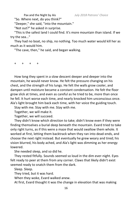"So. Where next, do you think?"

"Deeper," she said, "into the mountain."

"Not out?" he asked in surprise.

"This is the safest land I could find. It's more mountain than island. If we try the sea..."

They had no boat, no ship, no nothing. Too much water would kill her as much as it would him.

"The cave, then," he said, and began walking.

+ + + +

How long they spent in a slow descent deeper and deeper into the mountain, he would never know. He felt the pressure changing on his chest, and the strength of his lungs. He felt the walls grow cooler, and dampen until moisture became a constant condensation. He felt the floor grow slick at times, and even as careful as he tried to be, more than once he fell. It hurt worse each time, and nearly knocked him unconscious once. Ala's light brought him back each time, with her voice the guiding touch.

Stay with me. Stay with me. Stay with me.

Together, we will make it.

Together, we will succeed.

They didn't know which direction to take; didn't know even if they were finding themselves a burial deep beneath the mountain. Evard tried to take only right turns, as if this were a maze that would swallow them whole. It worked at first, letting them backtrack when they ran into dead-ends, and choose the next right instead. But eventually he grew weary and tired; his vision blurred, his body ached, and Ala's light was dimming as her energy lowered.

She needed sleep, and so did he.

They rested fitfully. Sounds seemed so loud in the dim ever-night. Eyes felt ready to peer at them from any corner. Claws that likely didn't exist seemed ready to snatch them from the dark.

Sleep. Sleep.

They tried, but it was hard.

When they woke, Evard walked anew.

At first, Evard thought it was the change in elevation that was making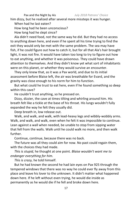him dizzy, but he realized after several more missteps it was hunger.

When had he last eaten?

How long had he been unconscious?

How long had he slept since?

Ala didn't need food, not the same way he did. But they had no access to anything down here, and even if he spent all his time trying to find the exit they would only be met with the same problem. The sea may have fish, if he could figure out how to catch it, but for all that Ala's hair brought light, it was not fire. It would have taken too long to try to figure out how to eat anything, and whether it was poisonous. They could have drawn attention to themselves. And they didn't know yet what sort of inhabitants were on this planet, or whether they would survive an encounter.

They only knew that, as it was a Pax world, and due to its initial assessment before Blaise left, the air was breathable for Evard, and the gravity was close enough to his norm for him to function.

But what could he trust to eat here, even if he found something so deep within this cave?

He couldn't trust anything, so he pressed on.

Dizzy, dizzier, the cave at times tilting and whirling around him. His breath felt like a tickle at the base of his throat. His lungs wouldn't fully expanded the way he felt they usually did.

Deep breath in, low release out.

Walk, and walk, and walk, with lead-heavy legs and wibbly-wobbly arms. Walk, and walk, and walk, even when he felt it was impossible to continue. Lean against a wall when needed, be unable to stop from sipping water that fell from the walls. Walk until he could walk no more, and then walk further.

Continue, continue, because there was no back.

The future was all they could aim for now. No past could regain them, with the choices they had made.

*This is stupid,* he thought at one point. *Blaise wouldn't want me to endanger everything for him.*

*This is crazy,* he told himself.

But he had known the second he had lain eyes on Pax 925 through the tempered windows that there was no way he could ever fly away from this place and leave his lover to the unknown. It didn't matter what happened down here. If he left without even trying, he would die inside as permanently as he would die if he fell and broke down here.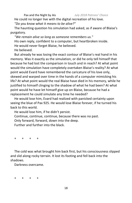He could no longer live with the digital recreation of his love.

*"Do you know what it means to be alive?"*

The haunting question his simulation had asked, as if aware of Blaise's purgatory.

*"We remain alive so long as someone remembers us."*  His own reply, confident to a computer, but heartbroken inside. He would never forget Blaise, he believed. He believed.

But already he was losing the exact contour of Blaise's real hand in his memory. Was it exactly as the simulation, or did he only tell himself that because he had lost the comparison in touch and in reach? At what point would the simulation have completely overtaken Blaise's reality? At what point would Evard have remembered the caricature of his love only, skewed and warped over time in the hands of a computer mimicking his life? At what point would the real Blaise have died in his memory, while he justified to himself clinging to the shadow of what he had been? At what point would he have let himself give up on Blaise, because he had a replacement he could simulate any time he needed?

He would lose him, Evard had realized with panicked certainty upon seeing the blue of Pax 925. He would lose Blaise forever, if he turned his back to this world.

He would lose him, if he didn't persist.

Continue, continue, continue, because there was no past.

Only forward, forward, down into the deep.

Further and further into the black.

+ + + +

The cold was what brought him back first, but his consciousness slipped and slid along rocky terrain. It lost its footing and fell back into the shadows.

Darkness overcame.

+ + + +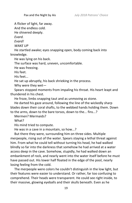A flicker of light, far away.

And the endless cold.

He shivered deeply.

*Evard.*

*Evard!*

*WAKE UP*

He startled awake; eyes snapping open, body coming back into knowledge.

He was lying on his back.

The surface was hard, uneven, uncomfortable.

He was freezing.

His feet.

His feet...

He sat up abruptly, his back shrieking in the process.

Why were they wet—

Spears stopped moments from impaling his throat. His heart leapt and thundered in his chest.

He froze, limbs snapping taut and as unmoving as stone.

He darted his gaze around, following the line of the wickedly sharp blades down their coral shafts, to the webbed hands holding them. Down to the arms, down to the bare torsos, down to the... fins...?

Mermen? Mermaids?

What?

His mind tried to compute.

He was in a cave in a mountain, so how...?

But there they were, surrounding him on three sides. Multiple merpeople, rising out of the water. Spears staying a lethal threat against him. From what he could tell without turning his head, he had walked blindly so far into the darkness that somehow he had arrived at a water access deep in the cave. Somehow, stupidly, he had walked down an embankment of rock, and nearly went into the water itself before he must have passed out. His lower half floated in the edge of the pool, nearly losing feeling from the cold.

The merpeople were colors he couldn't distinguish in the low light, but their features were easier to understand. Or rather, far too confusing to comprehend. Their heads were transparent. He could see right inside, to their massive, glowing eyeballs and their skulls beneath. Even as he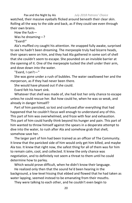watched, their massive eyeballs flicked around beneath their clear skin. Rolling all the way to the side and back, as if they could see even through their own brains.

How the fuck—

Was he dreaming—?

"Evard!"

Ala's muffled cry caught his attention. He snapped fully awake, surprised to see he hadn't been dreaming. The merpeople truly had bizarre heads, their spears were on him, and they had Ala gathered in some sort of shell that she couldn't seem to escape. She pounded on an invisible barrier at the opening of it. One of the merpeople tucked the shell under their arm, and dove down into the water.

"Evard, I can't—"

She was gone under a rush of bubbles. The water swallowed her and the merperson, as if they had never been there.

She would have phased out if she could.

Evard felt his heart sink.

Whatever that shell was made of, she had lost her only chance to escape unless he could rescue her. But how could he, when he was so weak, and already in danger himself?

Part of him panicked, so lost and confused after everything that had happened that he couldn't focus well enough to understand any of this. This part of him was overwhelmed, and froze with fear and exhaustion. This part of him could hardly think beyond his hunger and pain. This part of him wanted to throw himself against the spears in a desperate attempt to dive into the water, to rush after Ala and somehow grab that shell, somehow save her.

The larger part of him had been trained as an officer of The Community. It knew that the panicked side of him would only get him killed, and maybe Ala too. It knew that right now, the safest thing for all of them was for him to remain calm, cool, and collected. It knew the only chance was negotiation, and to definitely not seem a threat to them until he could determine how to parley.

Which would prove difficult, when he didn't know their language.

He realized only then that the sound he'd been hearing in the background, a low-level hissing that ebbed and flowed that he had taken as water lapping, seemed instead to be emanating from their mouths.

They were talking to each other, and he couldn't even begin to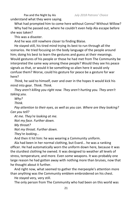Pax and the Night by Ais *July 2018 Patrons' Choice* understand what they were saying.

What had prompted him to come here without Conna? Without Willow? Why had he passed out, where he couldn't even help Ala escape before she was taken?

This was a disaster.

And he was still nowhere closer to finding Blaise.

He stayed still, his tired mind trying its best to run through all the scenarios. He tried focusing on the body language of the people around him; doing his best to learn the gestures and guess at their meanings. Would gestures of his people or those he had met from The Community be interpreted the same way among these people? Would they see his peace signals as that, or would it be something so alien here it would only confuse them? Worse, could his gesture for peace be a gesture for war here?

*Think,* he said to himself, over and over in the hopes it would kick his mind into gear. *Think. Think.*

*They aren't killing you right now. They aren't hurting you. They aren't taking you.*

*Why?*

*Think.* 

*Pay attention to their eyes, as well as you can. Where are they looking? Can you tell?*

*At me. They're looking at me.*

*Not my face. Further down.*

*My throat?*

*Not my throat. Further down.*

*They're looking...*

And then it hit him: he was wearing a Community uniform.

Ala had been in her normal clothing, but Evard... he was a ranking officer. He had automatically worn the uniform down here, because it was the sturdiest clothing he owned. It was designed to weather all levels of stress, temperature, and more. Even some weapons. It was probably one large reason he had gotten away with nothing more than bruises, now that he thought about it further.

And right now, what seemed to gather the merpeople's attention more than anything was the Community emblem embroidered on his chest.

He stayed very, very still.

The only person from The Community who had been on this world was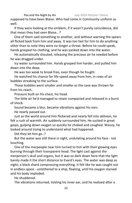supposed to have been Blaise. Who had come in Community uniform as well.

If they were looking at the emblem, if it wasn't purely coincidence, did that mean they had seen Blaise...?

One of them said something to another, and without warning the spears all flicked back from him and away. It was too fast for him to do anything other than to note they were no longer a threat. Before he could speak, hands grasped his clothing, and he was yanked down into the water.

He automatically shouted, releasing the precious air he needed before he was dragged under.

Icy water surrounded him. Hands grasped him harder, and pulled him down into the deep.

He was too weak to break free, even though he fought.

He watched his chance for life speed away from him, in rows of air bubbles streaking to the surface.

Those bubbles went smaller and smaller as the cave was thrown far from his reach.

Pressure built on his chest, his head.

The little air he'd managed to retain compacted and released in a burst of shock.

Sound became a blur, became vibrations against his ears.

He nearly passed out.

Just as the world around him flickered and nearly fell into oblivion, he felt a rush of warmth. Air suddenly surrounded him. He sucked in great gasps, gulping down oxygen so quickly he choked and coughed. Woozy, he looked around trying to understand what had happened.

Did they let him go..?

But the water was still there in sight, undulating around his face - not touching.

One of the merpeople near him turned to him with their glowing eyes burning through their transparent head. The light cast against the merperson's skull and organs, but it was so dark down here that the light barely made it the short distance to Evard's eyes. The water was deep as night; a black shard compressing everything. It felt like he was caught out in endless space - untethered to a ship; floating, until his oxygen starved and his body imploded.

He shuddered.

The vibrations returned, tickling his inner ear, and he realized after a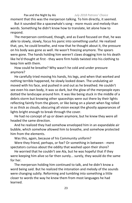moment that this was the merperson talking. To him directly, it seemed.

But it sounded like a spacewhale's song - more music and melody than words. Something he didn't know how to translate, let alone how to respond.

The merperson continued, though, and as Evard focused on that, he was able to slowly, slowly, focus his panic into something useful. He realized that, yes, he could breathe, and now that he thought about it, the pressure on his body was gone as well. He wasn't freezing anymore. The spears were gone. The hands holding him weren't claws dragging him to his death like he'd thought at first - they were firm holds twisted into his clothing to keep him with them.

How could he breathe? Why wasn't he cold and under pressure anymore?

He carefully tried moving his hands, his legs, and when that worked and nothing terrible happened, he slowly looked down. The undulating air moved with his face, and pushed in and out as he breathed. He couldn't see even his own body, it was so dark, but the glow of the merpeople eyes dotted the landscape around him. It was like being stuck in the middle of a debris storm but knowing other spaceships were out there by their lights reflecting faintly from the gloom, or like being on a planet when fog rolled in as thick as clouds, obscuring all vision except the ghostly appearances of lights bright enough to break through the cover.

He had no concept of up or down anymore, but he knew they were all headed the same direction.

And he realized they had somehow enveloped him in an expandable air bubble, which somehow allowed him to breathe, and somehow protected him from the elements.

Was this, again, because of his Community uniform?

Were they friend, perhaps, or foe? Or something in between - mere spectators curious about the oddity that washed upon their shore?

He worried that he couldn't see Ala, but he was hopeful that if they were keeping him alive so far then surely... surely, they would do the same for her.

The merperson holding him continued to talk, and he didn't know a word being said. But he realized the intonation and melody of the sounds were changing subtly. Reforming and tumbling into something a little closer to words the way he knew them from most languages he had learned.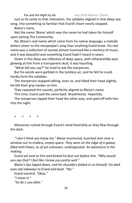Just as he came to that realization, the syllables aligned in that deep-sea song, into something so familiar that Evard's heart nearly stopped.

Blaise's name.

Not the name 'Blaise' which was the name he had taken for himself upon joining The Community.

No, Blaise's *real* name which came from his native language; a melodic dialect closer to the merpeople's song than anything Evard knew. His real name was a collection of sounds almost hummed like a memory of music, and it was beautiful and something Evard hadn't heard in years.

Down in this deep sea reflective of deep space, with otherworldly eyes glowing at him from a transparent skull, it was haunting.

"What did you say?" he tried to ask the merperson.

But his words were garbled in the tankless air, and he felt he could hardly form the syllables.

The merperson stopped talking, even so, and tilted their head slightly. He felt their grip harden on him.

They repeated the sounds, perfectly aligned to Blaise's name.

This time, Evard said the same back. Breathlessly. Hopefully.

The merperson tipped their head the other way, and sped off with him into the night.

+ + + +

Memories rushed through Evard's mind feverishly as they flew through the dark.

*"I don't think you know me," Blaise murmured, hunched over near a window out to endless, empty space. They were on the edge of a galaxy filled with Paxes, as of yet unknown, undesignated. An adventure in the making.*

*Evard sat next to him and kicked his feet out before him. "Why would you say that? I feel like I know you pretty well."*

*Blaise's lips tipped down, and his shoulders folded in on himself. His dark eyes slid sideways to Evard and back. "No."*

*Evard snorted. "Okay." "I mean it." "So do I, you idiot."*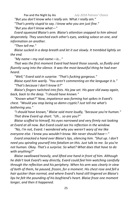*"But you don't know who I really am.* What *I really am." "That's pretty stupid to say. I know who you are just fine."*

*"But you don't know what—"*

*Evard squeezed Blaise's arm. Blaise's attention snapped to him almost desperately. They searched each other's eyes, seeking solace on one, and information on another.*

*"Then tell me."*

*Blaise sucked in a deep breath and let it out slowly. It trembled lightly on the end.*

*"My name—my real name—is..."*

*That was the first moment Evard had heard those sounds, so fluidly and fluently sung into the silence. It was the most beautiful thing he had ever heard.*

*"Well," Evard said in surprise. "That's fucking gorgeous."*

*Blaise eyed him warily. "You aren't commenting on the language it is." "That's because I don't know it?"*

*Blaise's fingers twitched into fists. His jaw set. His gaze slid away again, back, back to the deep. "I should have known."*

*"Known what?" Now, impatience was forming hot spikes in Evard's chest. "Would you stop being so damn cryptic? Just tell me what's bothering you."*

*"I should have known," Blaise said more loudly, "because you're human." That drew Evard up short. "Uh... so are you?"*

*Blaise scoffed to himself, his eyes narrowed and very firmly not looking at Evard at all now. But Evard could see his reflection in the window.*

*"No, I'm not, Evard. I wondered why you weren't wary of me like everyone else. I* knew *you wouldn't know. We never should have—"*

*Evard smacked a hand over Blaise's lips, silencing him. "Shut up. I don't need you spiraling yourself into fatalism on this. Just* talk *to me. So you're not human. Okay. That's a surprise. So what? What does that have to do with anything?"*

*Blaise swallowed heavily, and lifted one hand in front of him. Although he didn't look Evard's way directly, Evard could feel him watching carefully through the reflection and his periphery. When his arm was clearly in view of both of them, he paused, frozen, for a moment. His chest rose and fell a hair quicker than normal, and where Evard's hand still lingered on Blaise's lips he felt the pounding of his boyfriend's heart. Blaise froze one moment longer, and then it happened.*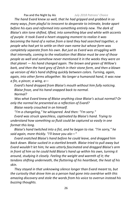*The hand Evard knew so well, that he had gripped and grabbed in so many ways, from playful to innocent to desperate to intimate, broke apart before his eyes and reformed into something entirely new. The dark of Blaise's skin tone shifted, lifted, into something blue and white with accents of purple. It took Evard a heart-stopping moment to realize it was becoming the hand of a native from a land they had searched together, a people who had yet to settle on their own name but whose form was completely separate from his own. But just as Evard was struggling with that internally, coming to the realization that Blaise must be one of those people as well and somehow never mentioned it in the weeks they were on that planet — his hand changed again. The brown and green of Willow's bark, and then the hard grey of Zetch in their stone form, and then a blown up version of Ala's hand shifting quickly between colors. Turning, again, again, into other forms altogether. No longer a humanoid hand, it was now a fin, a pincer, a wing, a—*

*Evard's hand dropped from Blaise's mouth without him fully noticing. Blaise froze, and his hand snapped back to normal. Normal?*

*Was what Evard knew of Blaise anything close Blaise's* actual *normal? Or only the normal he presented as a reflection of Evard?*

*Blaise nearly crouched in on himself.*

*"I'm a changeling," he whispered. And then: "I'm sorry."*

*Evard was struck speechless, captivated by Blaise's hand. Trying to understand how something so fluid could be captured so easily in one format this long.* 

*Blaise's hand twitched into a fist, and he began to rise. "I'm sorry," he said again, more thickly. "I'll leave you alo—"*

*Evard snatched Blaise's hand before he could leave, and dragged him back down. Blaise sucked in a startled breath. Blaise tried to pull away but Evard wouldn't let him; he was utterly fascinated and dragged Blaise's arm in front of him so he could hold Blaise's hand up within his own, turning it around, studying it closely. Feeling the weight and warmth of it; the tendons shifting underneath, the fluttering of his heartbeat, the heat of his skin.*

*They stayed in that unknowing silence longer than Evard meant to, but the curiosity that drove him as a person had gone into overdrive with this amazing discovery and stole the words from his voice to overrun instead his buzzing thoughts.*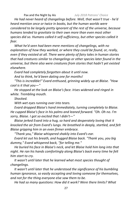*He had never heard of changelings before. Well, that wasn't true - he'd heard mention once or twice in books, but the human worlds were considered to be largely pretty ignorant of the rest of the universe, because humans tended to gravitate to their own more than even most other species did so. Humans called it self-sufficiency, but other species called it fear.*

*What he'd seen had been mere mentions of changelings, with no explanation of how they worked, or where they could be found, or, really, even if they existed at all. There were plenty of fairy tales in human stories that had creatures similar to changelings or other species later found in the universe, but there also were creatures from stories that hadn't yet existed elsewhere.* 

*Evard had completely forgotten about it until now. And to think, he'd been dating one for months!*

*"This is incredible!" Evard enthused, grinning widely up at Blaise. "How cool is it that you—"*

*He stopped at the look on Blaise's face. Irises widened and ringed in white. Trembling mouth.*

*Shocked.*

*With wet eyes running over into tears.*

*Evard dropped Blaise's hand immediately, turning completely to Blaise. He cupped Blaise's face in his palms and leaned forward. "Oh. Oh no. I'm sorry, Blaise. I got so excited that I didn't—"*

*Blaise jerked Evard into a hug, so hard and desperately loving that it knocked the air from Evard's lungs. He breathed in deeply, startled, and felt Blaise gripping him in an even firmer embrace.* 

*"Thank you," Blaise whispered shakily into Evard's ear.*

*Evard let out his breath, and hugged Blaise back. "Thank* you, *you big dummy," Evard whispered back, "for telling me."* 

*He buried his face in Blaise's neck, and let Blaise hold him long into that night. He ran his hands comfortingly along Blaise's back every time he felt him start to cry.*

*It wasn't until later that he learned what most species thought of changelings.*

*It wasn't until later that he understood the significance of his bumbling human ignorance, so easily accepting and loving someone for themselves, and not for the thing everyone else saw them to be.*

*He had so many questions: How did it work? Were there limits? What*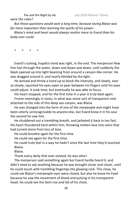*were the rules?*

*But those questions would wait a long time, because loving Blaise was far more important than learning the quirks of his power.* 

*Blaise's mind and heart would always matter more to Evard than his body ever could.*

+ + + +

Evard's rushing, hopeful mind was right, in the end. The merperson flew him fast through the water, down and down and down, until suddenly the black opened up into light beaming from around a canyon-like corner. He was dragged around it, and nearly blinded by the light.

He winced and threw a hand up to block the intensity, and slowly, ever so slowly, squinted his eyes open to peer between his fingers until his eyes could adjust. It took time, but eventually he was able to focus.

His heart stopped, and for the first time in a year it truly beat again.

Frozen seemingly in stasis, in what was some sort of transparent rock attached to the side of this deep sea canyon, was Blaise.

He was changed into the form of one of the merpeople and might have been utterly unrecognizable to anyone else, but Evard knew it in his soul the second he saw him.

He shuddered out a trembling breath, and jacketed it back in too fast. His heart thundered hard within him, throwing molten lava into veins that had turned stone from loss of love.

He could breathe again for the first time.

He could see again for the first time.

He could truly feel in a way he hadn't since the last time they'd touched. Blaise.

Blaise.

Thank every deity that ever existed, he was *alive!*

The merperson said something again but Evard hardly heard it, and didn't need to ask anything because he was brought closer and closer, until he could touch with trembling fingertips the glowing rock. This close, he could see Blaise's merpeople eyes were closed, but also he knew he lived because he saw the movement of blood and pulsing in his transparent head. He could see the faint rise and fall of his chest.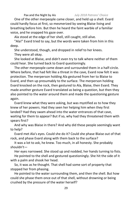One of the other merpeople came closer, and held up a shell. Evard could hardly focus at first, so mesmerized by seeing Blaise living and breathing before him. But then he heard the faint warble of a familiar voice, and he snapped his gaze over.

Ala stood at the edge of her shell, still caught, still alive.

"Ala!" Evard tried to say, but the words were taken from him in this deep.

She understood, though, and dropped in relief to her knees.

They were all okay.

She looked at Blaise, and didn't even try to talk where neither of them could hear. She turned back to Evard questioningly.

The other merpeople came down and surrounded them in a half-circle. Where before, that had felt like a threat in the cave, Evard now felt it was protection. The merperson holding Ala gestured from her to Blaise to Evard, and then up presumably to the surface. The merperson holding Evard knocked on the rock, then gestured to Ala, Blaise, then Evard. They made another gesture Evard translated as being a question, but then they also pointed to the water around them and made the questioning gesture again.

Evard knew what they were asking, but was mystified as to how they knew of her powers. Had they seen her helping him when they first landed? Had they swam ahead into the water entrances of that cave, waiting for them to appear? But if so, why had they threatened them with spears first?

And why was Blaise in there? And why did these people seemingly want to help?

Evard met Ala's eyes. Could she do it? Could she phase Blaise out of that rock, and phase Evard along with them back to the surface?

It was a lot to ask, he knew. Too much, in all honesty. She probably shouldn't—

Her eyes narrowed. She stood up and nodded, her hands turning to fists. He pointed to the shell and gestured questioningly. She hit the side of it with a palm and shook her head.

So, it was as he thought. That shell had some sort of property that stopped her from phasing.

He pointed to the water surrounding them, and then the shell. But how could she phase them once out of that shell, without drowning or being crushed by the pressure of the water herself?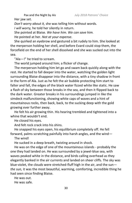Her jaw set.

*Don't worry about it,* she was telling him without words. *I will worry,* he told her silently in return.

She pointed at Blaise. *We have him. We can save him.*

He pointed at her. *Not at your expense.*

She quirked an eyebrow and gestured a bit rudely to him. She looked at the merperson holding her shell, and before Evard could stop them, the forcefield on the end of her shell dissolved and she was sucked out into the sea.

"Ala—!" he tried to scream.

The world jumped around him; a flicker of change.

The merperson holding him let go and swam back quickly along with the rest. He started to fall deeper into the water, watching the golden light surrounding Blaise disappear into the distance, with a tiny shadow in front in the form of Ala. Just as he felt the air bubble protecting him start to falter and fall, the edges of the black water fizzed white like static. He saw a flash of sky between those breaks in the sea, and then it flipped back to the dark water. Greater breaks in his surroundings jumped in like the simdeck malfunctioning, showing white caps of waves and a hint of mountainous rocks, then back, back, to the sucking deep with the gold growing ever further away.

He felt his air growing thin. His hearing trembled and tightened into a whine that wouldn't end.

He closed his eyes.

And felt rock crack into his shins.

He snapped his eyes open, his equilibrium completely off. He fell forward, palms scratching painfully into harsh angles, and the wind—

The wind!

He sucked in a deep breath, twisting around in shock.

He was on the edge of one of the mountainous islands - probably the one they had landed on. He was surrounded by a jewel-blue sea, with waves peaked white in the distance, and birds calling overhead as they elegantly banked in the air currents and landed on sheer cliffs. The sky was blue-violet, the clouds were stretched-fluff high in the air, and the sun *the sun,* it was the most beautiful, warming, comforting, incredible thing he had seen since finding Blaise.

He was out. He was safe.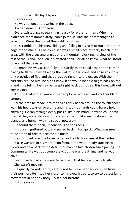He was alive.

He was no longer drowning in the deep.

Ala had done it! And Blaise—

Evard twisted again, searching nearby for either of them. When he didn't see them immediately, panic jolted in. Had she only managed to save him? Were the two of them still caught—

He scrambled to his feet, sliding and falling in his rush to run around the edge of the island. All he could see was a small piece of rocky beach in his area, with the crags and angles of the mountain blocking his view of the rest of the island - or even if it existed at all. For all he knew, what he stood on was all that existed.

He made his way as carefully but quickly as he could around the corner, having to flatten himself along the wall of sheer stone and edge around a tiny precipice of flat land that dropped right into the ocean. With the currents around him, he didn't know if he would be able to get back on the island if he fell in. He may be swept right back out to sea; this time, without any saviors.

Around that corner was another empty rocky beach and another blind corner.

By the time he made it to the third rocky beach around the fourth sheer wall, his heart was on overtime and his too-hot hands could barely hold anything. He ran through every possibility in his mind - how he could save them if they were still down there, what he could even do alone on a planet, as a human with no special powers—

He found them, then, unconscious on the rocks.

His breath guttered out, and pulled back in too quick. What was meant to be a tide of breath became a tsunami.

He stumbled over the loose rocks, and fell to his knees at their sides.

Blaise was still in his merperson form, but it was already starting to flicker and flow back to the default human he had chosen since joining The Community. He was out completely, but he was breathing, and he was alive.

Evard hardly had a moment to rejoice in that before turning to Ala. She wasn't moving.

He quickly picked her up, careful not to move her neck or spine from their position. He lifted her closer to his eyes, his ears, to try to detect faint movement in her tiny body. To see her breathe.

But she wasn't.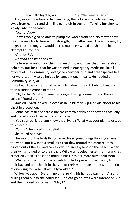And, more disturbingly than anything, the color was slowly leeching away from her hair and skin, like paint left in the rain. Turning her slowly, slowly, into stone-white.

"No, no, *Ala—"* 

He was too big to be able to pump the water from her. No matter how much he may try to temper his strength, no matter how little air he may try to get into her lungs, it would be too much. He would crush her in his attempt to save her.

*What do I do*

*What do I do what do I do*

He looked around, searching for anything, *anything,* that may be able to help him. But for all that he was trained in emergency medicine like all officers of The Community, everyone knew her kind and other species like her were too tiny to be helped by conventional means. He needed a Community ship, or—

He heard the skittering of rocks falling down the cliff behind him, and then a sudden crunch of stone.

"Oh, for fuck's sake," came the long-suffering comment, and then a yelled: "Found them!"

Startled, Evard looked up even as he instinctively pulled Ala closer to his chest in protection.

Conna easily strode across the rocky terrain with her hooves as casually and gracefully as Evard would a flat floor.

"You're a real idiot, you know that, Evard? What was your plan to escape this place?"

"Conna?" he asked in disbelief.

She rolled her eyes.

The sound of the birds flying came closer; great wings flapping against the wind. But it wasn't a small bird that flew around the corner; Zetch curved out of the air, and came down to an easy land on the beach. When their wings folded onto their back, Willow unraveled herself from branched armor on Zetch's chest and molded back into her more humanoid form.

"Well, wouldja look at that?" Zetch pulled a piece of glass candy from their bag and crunched it in the side of their mouth, gesturing with the tip of one wing to Blaise. "It actually worked."

Willow was upon Evard in no time, prying his hands away from Ala and pulling them out so she could see. Her leaf-green eyes were intense on Ala, and then flicked up to Evard. "May I?"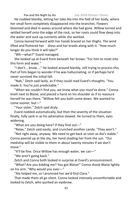He nodded blankly, letting her take Ala into the fold of her body, where her small form completely disappeared into the branches. Flowers bloomed and died in waves around where Ala had gone. Willow turned and settled herself onto the edge of the rock, so her roots could flow deep into the water and suck up nutrients while she worked.

Conna leaned forward with her hands braced on her thighs. The wind lifted and fluttered her dress and her braids along with it. "How much longer do you think it will take?"

"Wh—what?" Evard managed.

She looked up at Evard from beneath her brows. "For him to reset into this form and wake."

"I don't... know...." He looked around blankly, still trying to process this. Part of him began to wonder if he was hallucinating, or if perhaps he'd never survived the initial fall.

"Nah," Zetch said lazily, as if they could read Evard's thoughts. "You made it. You're just predictable."

"When we couldn't find you, we knew what you must've done." Conna knelt next to Blaise, and placed a hand on his shoulder as if to reassure herself he was there. "Willow felt you both come down. We wanted to come sooner, but—"

"Your sister," Zetch said dryly.

Evard nodded automatically, but then the severity of the situation finally, fully sank in as his adrenaline slowed. He turned to them, eyes widening.

"What are you doing here? If they find out—"

"Relax," Zetch said easily, and crunched another candy. "They won't."

"Not right away, anyway. We need to get back as soon as Ala's stable." Conna peered up at the sky, her hand shading her from the sun. "Our mediship will be visible to them in about twenty minutes if we don't move."

"It'll be fine. Once Willow has enough water, we can—"

"We aren't going back."

Zetch and Conna both looked in surprise at Evard's announcement.

*"What?* Are you kidding me? You got Blaise!" Conna shook Blaise lightly on his arm. "Why would you ever—"

"Ala helped me, so I promised her we'd find Clara."

That made them all go silent. Conna looked intensely uncomfortable and looked to Zetch, who quirked an eyebrow.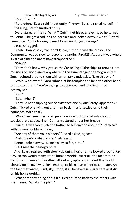"Pax 880 is—"

"Forbidden," Evard said impatiently, "I know. But she risked herself—" "Missing," Zetch finished firmly.

Evard stared at them. "What?" Zetch met his eyes evenly, so he turned to Conna. She got a sad look on her face and looked away. *"What?"* Evard demanded. "It's a fucking planet! How could it go missing?"

Zetch shrugged.

"Yeah," Conna said, "we don't know, either. It was the reason The Community was so slow to respond regarding Pax 925. Apparently, a whole swath of similar planets have disappeared."

*"What?"*

"They don't know why yet, so they're telling all the ships to return from missions on any planets anywhere in the same range of demographics." Zetch pointed around them with an empty candy stick. "Like this one."

"Wait. Wait, wait." Evard rubbed at his temples and held the other hand out to stop them. "You're saying 'disappeared' and 'missing'... not destroyed?"

"Yep."

"But... when?"

"They've been flipping out of existence one by one lately, apparently." Zetch flicked one wing out and then back in, and settled onto their haunches more easily.

"Would've been nice to tell people entire fucking civilizations and species are disappearing," Conna muttered under her breath.

"Guess it was too much of a bother to tell anyone about it," Zetch said with a one-shouldered shrug.

"Are any of them your planets?" Evard asked, aghast.

"Nah, mine's probably fine," Zetch said.

Conna looked away. "Mine's okay so far, but..."

But it met the demographics.

And, Evard realized with slowly dawning horror as he looked around Pax 925, so too would many of the human worlds. After all, the fact that he could stand here and breathe without any apparatus meant this world already on its own was close enough to his native planet to compare. And the fact that water, wind, sky, stone, it all behaved similarly here as it did on his homeworld...

"What are they doing about it?" Evard turned back to the others with sharp eyes. "What's the plan?"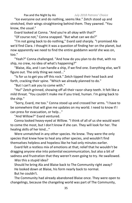"Ice everyone out and do nothing, seems like." Zetch stood up and stretched, their wings straightening behind them. They yawned. "You know, the usual."

Evard looked at Conna. "And you're all okay with that?"

"Of course not," Conna snapped. "But what can we do?"

"I'm not going back to do nothing," Evard said sharply. "I promised Ala we'd find Clara. I thought it was a question of finding her on the planet, but now apparently we need to find the entire goddamn *world* she was on, too."

"Yeah?" Conna challenged. "And how do you plan to do that, with no ship, no crew, no idea of what's happening?"

"Blaise, Ala, and I can handle a ship, if we find one. Everything else, we'll figure out. The only thing we need..."

"Is for us to get you off this rock." Zetch tipped their head back and forth, cracking their spine. "Which we already planned to do."

"But I can't ask you to come with."

"Ha!" Zetch grinned, showing off all their razor-sharp teeth. It felt like a mild threat. "You couldn't make me if you tried, human. I'm going back to the ship."

"Sorry, Evard, me too." Conna stood up and crossed her arms. "I have to be somewhere that will give me updates on my world. I need to know if I can press for evacuation, or help..."

"And Willow?" Evard ventured.

Conna looked heavy-eyed at Willow. "I think of all of us she would want to come the most, but I don't know if she can. They will look for her. The healing skills of her kind..."

Were unmatched in any other species. He knew. They were the only species that knew how to heal any other species, and wouldn't find themselves helpless and hopeless like he had only minutes earlier.

Evard felt a restless mix of emotions at that; relief that he wouldn't be dragging anyone else into potential excommunication, but also a bit of sadness and frustration that they weren't even going to try. He swallowed. *Was* this a stupid idea?

Should he bring Ala and Blaise back to The Community right away? He looked down at Blaise, his form nearly back to normal. But he couldn't.

The Community had already abandoned Blaise once. They were open to changelings, because the changeling world was part of The Community,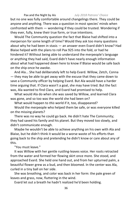but no one was fully comfortable around changelings there. They could be anyone and anything. There was a question in most species' minds when confronted with them — wondering if they could be trusted. Wondering if they ever, fully, knew their true form, or true intentions.

Would The Community question the fact that Blaise had shifted into a merperson for some length of time? Would they ask too many questions about why he had been in stasis — an answer even Evard didn't know? Had Blaise helped with the plans to roll Pax 925 into the fold, or had he hindered it? Without being able to understand the merpeople's language or anything they had said, Evard didn't have nearly enough information about what had happened down here to know if Blaise would be safe back on the ship once he awoke.

And Ala... She had deliberately left to help Evard. Willow, Zetch, Conna — they may be able to get away with the excuse that they came down to save a Community officer by helping Evard. But Ala would have a harder time arguing that. If Clara wasn't a goal, she may have tried. But the fact was, Ala wanted to find Clara, and Evard had promised to help.

What would Ala do when she was saved by Willow, and learned Clara was gone, and so too was the world she had been on?

What would happen to *this* world if it, too, disappeared?

Would the merpeople who helped them be safe, or was everyone killed on the missing planets?

There was no way he could go back. He didn't hate The Community; they had saved his family and his planet. But they moved too slowly, and didn't communicate enough.

Maybe he wouldn't be able to achieve anything on his own with Ala and Blaise, but he didn't think it would be a worse waste of his efforts than going back to the ship and pretending he didn't know or care about any of this.

"You must leave."

It was Willow with her gentle rustling-leaves voice. Her roots retracted from the water and formed her flowing skirt once more. She stood, and approached Evard. She held one hand out, and from her upturned palm, a beautiful flower grew as a bud, and then bloomed. In the center was Ala, curled in a tiny ball on her side.

She was breathing, and color was back in her form: the pale green of leaves and grass, now, fluttering in the wind.

Evard let out a breath he hadn't realized he'd been holding.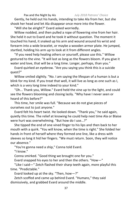Gently, he held out his hands, intending to take Ala from her, but she shook her head and let Ala disappear once more into the flower. "Will she be alright?" Evard asked worriedly.

Willow nodded, and then pulled a rope of flowering vine from her hair. She held it out to Evard and he took it without question. The moment it touched his hand, it snaked up his arm and wound around his wrist and forearm into a wide bracelet, or maybe a wooden armor plate. He jumped, startled, holding his arm up to look at it from different angles.

"If you need help healing others or yourself, please use this." Willow gestured to the vine. "It will last as long as the flowers bloom. If you give it water and love, that will be a long time. Longer, perhaps, than you."

Evard quirked an eyebrow. "Are you saying you think this is a suicide quest?"

Willow smiled slightly. "No. I am saying the lifespan of a human is but a blink for my kind. If you treat that well, it will live as long as one such as I, which is a very long time indeed to your kind."

"Oh... Thank you, Willow." Evard held the vine up to the light, and could see the flowers blooming and closing lazily. "Why have I never seen or heard of this before?"

This time, her smile was full. "Because we do not give pieces of ourselves out to just anyone."

Evard felt his heart twist. He looked down. "Thank you," he said again, quietly this time. The relief at knowing he could help next time Ala or Blaise were hurt was overwhelming. "But how do I use...?"

She tipped the end of one vined finger to his lips and then back to her mouth with a quirk. "You will know, when the time is right." She folded her hands in front of herself where they formed one line, like a dress with sleeves so long it hid her fingers. "We must return. Soon, they will notice our absence."

"You're gonna need a ship," Conna told Evard.

"I know."

Conna smirked. "Good thing we brought one for you."

Evard snapped his eyes to her and then the others. "How—"

"Like I said—" Zetch flashed their sharp teeth again, more playful this time. "Predictable."

Evard looked up at the sky. "Then, how—?"

Zetch scoffed and came up behind Evard. "Humans," they said dismissively, and grabbed Evard around the middle.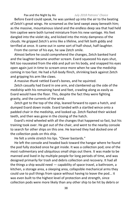Before Evard could speak, he was yanked up into the air to the beating of Zetch's great wings. He screamed as the land swept away beneath him; as the massive, mountainous island and the endless deep sea that had held him captive were both turned miniature from his new vantage. His feet dangled into the violet sky, and kicked into the misty dampness of the clouds. He gripped Zetch's arms like a lifeline, and felt both giddy and terrified at once. It came out in some sort of half-shout, half-laughter.

From the corner of his eye, he saw Zetch smile.

Almost before he could comprehend the changes, Zetch banked hard and the laughter became another scream. Evard squeezed his eyes shut, felt too nauseated from the ebb and pull on his body, and snapped his eyes open again just in time to scream once more when he saw the mediship coming in too fast. He had a full-body flinch, shrinking back against Zetch and gripping his arm like claws.

A massive *thunk* rattled Evard's bones, and he squinted.

Zetch casually had Evard in one arm, and clambered up the side of the mediship with his remaining hand and feet, crawling along as easily as Evard would have the floor. This, despite the fact they were fighting gravity, and the currents of the wind.

Zetch got to the top of the ship, leaned forward to open a hatch, and dumped Evard down inside. Evard landed with a startled wince onto a padded chair in the mediship, and looked up. Zetch flashed their wicked teeth, and then was gone in the closing of the hatch.

Evard's mind wheeled with all the changes that happened so fast, but his training took over. He got out of the chair, and went to the nearby console to search for other ships on this one. He learned they had docked one of the collection pods on this ship.

He felt a smile stretch his lips. "Clever bastards."

He left the console and headed back toward the hangar where he found the pod fully stocked once he got inside. It was a collection pod; one of the most rudimentary and ubiquitous small ships out there. It was made to be manned and lived in by multiple people for long periods of time, and was designed primarily for trash and debris collection and recovery. It had all the things a ship would need — capability of space travel, a bathroom, a kitchen, a storage area, a sleeping area, collapsible mechanical arms they could use to pull things from space without having to leave the pod... it was even built to the highest level of protection and strength, since collection pods were more likely than any other ship to be hit by debris or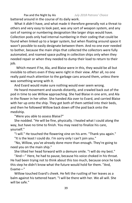Pax and the Night by Ais *July 2018 Patrons' Choice* battered around in the course of its daily work.

What it *didn't* have, and what made it therefore generally not a threat to others and very easy to look past, was any sort of weapon system, and any sort of naming or numbering designation like larger ships would have. Collection pods only had internal numbering in their coding that could be found when linked up to a larger system, but when floating around space it wasn't possible to easily designate between them. And no one ever needed to bother, because the main ships that collected the collectors were fully automated, and roamed space pulling in collection ships only when they needed repair or when they needed to dump their load to return to their job.

Which meant if he, Ala, and Blaise were in this, they would be all but invisible to others even if they were right in their view. After all, no one really paid much attention to the garbage cans around them, unless there was something wrong with it.

And Evard would make sure nothing would ever seem wrong.

He heard movement and sounds distantly, and crawled back out of the pod in time to see Willow approaching. She had Blaise in one arm, and Ala in the flower in her other. She handed Ala over to Evard, and carried Blaise with her up onto the ship. They got both of them settled into their beds, and then he followed Willow back down off the pod back onto the mediship.

"Were you able to assess Blaise?"

She nodded. "He will be fine, physically. I healed what I could along the way, but have no time to finish. You may need to finalize his care, yourself."

"I will." He touched the flowering vine on his arm. "Thank you again."

"It is the least I could do. I'm sorry only I can't join you."

"No, Willow, you've already done more than enough. They're going to need you on the main ship."

She tilted her head forward with a demure smile. "I will do my best."

"And—" Here, he had to pause, because his voice choked in his throat. He had been trying not to think about this too much, because once he took this step he didn't know what the future would hold for them. "And, Evame—"

Willow touched Evard's cheek. He felt the rustling of her leaves as a balm against his tattered heart. "I will be there with her. We all will. She will be safe."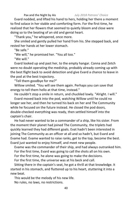Evard nodded, and lifted his hand to hers, holding her there a moment to find solace in her stable and comforting form. For the first time, he realized that her flowers that seemed to quietly bloom and close were doing so to the beating of an old and genial heart.

"Thank you," he whispered, once more.

She smiled and gently pulled her hand from his. She stepped back, and rested her hands at her lower stomach.

"Be safe."

"We will," he promised her. "You all too."

"We will."

Evard looked up and past her, to the empty hangar. Conna and Zetch were no doubt operating the mediship, probably already coming up with the best flight back to avoid detection and give Evard a chance to leave in the pod at the best trajectory.

"Tell them goodbye for me?"

Willow smiled. "You will see them again. Perhaps you can save that energy to tell them hello at that time, instead."

He couldn't stop a smile in return, and chuckled lowly. "Alright. I will." Evard moved back into the pod, watching Willow until he could no longer see her, and then he turned his back on her and The Community while he focused on the future instead. He closed the pod doors, double-checked everything was ready, then settled himself into the captain's chair.

He had never wanted to be a commander of a ship, like his sister. From the moment their planet had joined The Community, the triplets had quickly learned they had different goals. Evat hadn't been interested in joining The Community as an officer at all and so hadn't, but Evard and Evame had. Evame wanted to raise ranks, get to the top, become the best. Evard just wanted to enjoy himself, and meet new people.

Evame was the commander of their ship, and had always outranked him. For the first time, Evard was going to call the shots all on his own. For the first time, he alone was going to make the decisions.

For the first time, the universe was at his beck and call.

Sitting there in the captain's seat, he got a thrill at that knowledge. It started in his stomach, and fluttered up to his heart, stuttering it into a new beat.

This would be the melody of his new life. No rules, no laws, no restrictions.